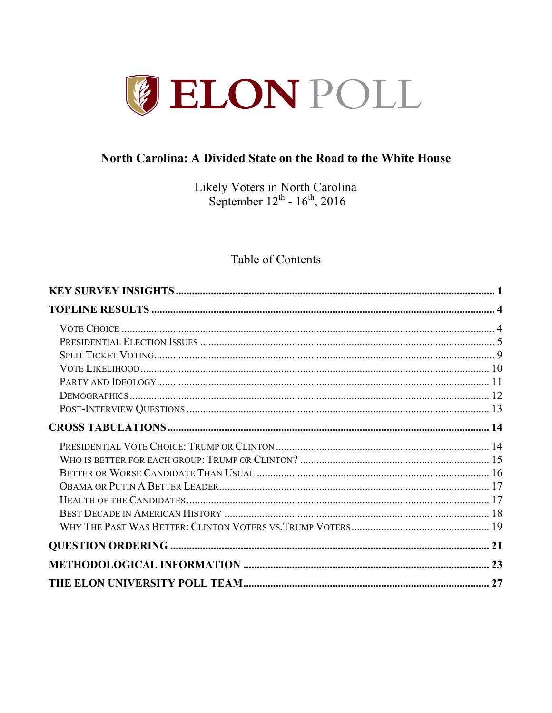

# North Carolina: A Divided State on the Road to the White House

Likely Voters in North Carolina<br>September  $12^{th}$  -  $16^{th}$ , 2016

# Table of Contents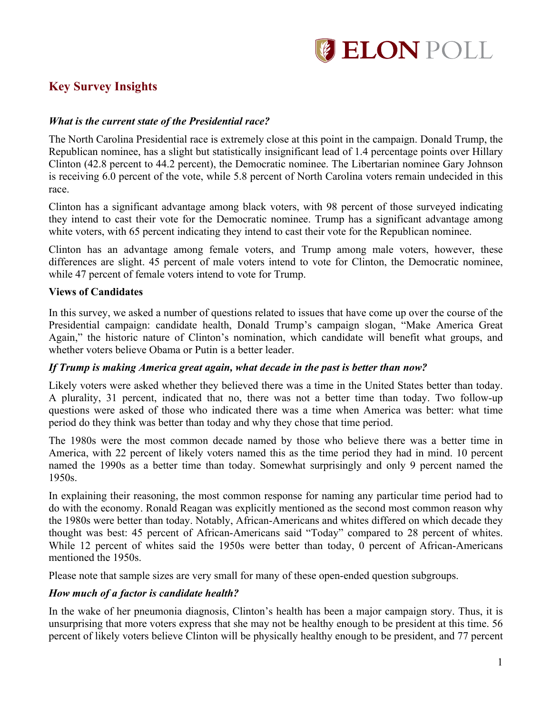

# **Key Survey Insights**

## *What is the current state of the Presidential race?*

The North Carolina Presidential race is extremely close at this point in the campaign. Donald Trump, the Republican nominee, has a slight but statistically insignificant lead of 1.4 percentage points over Hillary Clinton (42.8 percent to 44.2 percent), the Democratic nominee. The Libertarian nominee Gary Johnson is receiving 6.0 percent of the vote, while 5.8 percent of North Carolina voters remain undecided in this race.

Clinton has a significant advantage among black voters, with 98 percent of those surveyed indicating they intend to cast their vote for the Democratic nominee. Trump has a significant advantage among white voters, with 65 percent indicating they intend to cast their vote for the Republican nominee.

Clinton has an advantage among female voters, and Trump among male voters, however, these differences are slight. 45 percent of male voters intend to vote for Clinton, the Democratic nominee, while 47 percent of female voters intend to vote for Trump.

#### **Views of Candidates**

In this survey, we asked a number of questions related to issues that have come up over the course of the Presidential campaign: candidate health, Donald Trump's campaign slogan, "Make America Great Again," the historic nature of Clinton's nomination, which candidate will benefit what groups, and whether voters believe Obama or Putin is a better leader.

#### *If Trump is making America great again, what decade in the past is better than now?*

Likely voters were asked whether they believed there was a time in the United States better than today. A plurality, 31 percent, indicated that no, there was not a better time than today. Two follow-up questions were asked of those who indicated there was a time when America was better: what time period do they think was better than today and why they chose that time period.

The 1980s were the most common decade named by those who believe there was a better time in America, with 22 percent of likely voters named this as the time period they had in mind. 10 percent named the 1990s as a better time than today. Somewhat surprisingly and only 9 percent named the 1950s.

In explaining their reasoning, the most common response for naming any particular time period had to do with the economy. Ronald Reagan was explicitly mentioned as the second most common reason why the 1980s were better than today. Notably, African-Americans and whites differed on which decade they thought was best: 45 percent of African-Americans said "Today" compared to 28 percent of whites. While 12 percent of whites said the 1950s were better than today, 0 percent of African-Americans mentioned the 1950s.

Please note that sample sizes are very small for many of these open-ended question subgroups.

#### *How much of a factor is candidate health?*

In the wake of her pneumonia diagnosis, Clinton's health has been a major campaign story. Thus, it is unsurprising that more voters express that she may not be healthy enough to be president at this time. 56 percent of likely voters believe Clinton will be physically healthy enough to be president, and 77 percent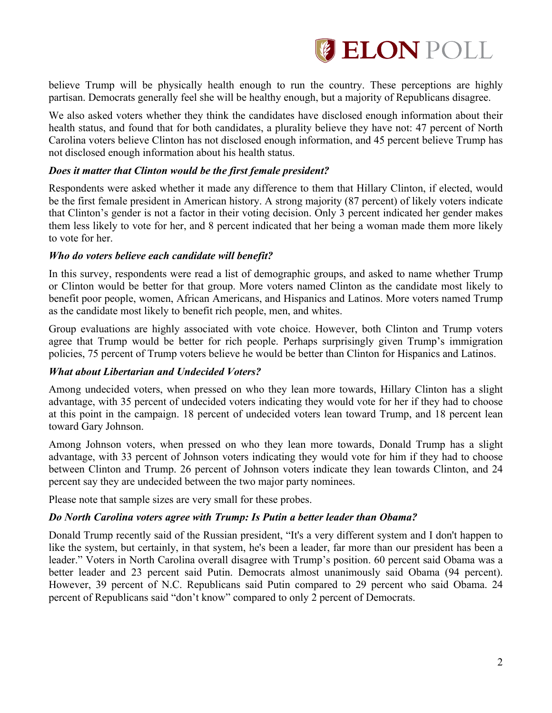

believe Trump will be physically health enough to run the country. These perceptions are highly partisan. Democrats generally feel she will be healthy enough, but a majority of Republicans disagree.

We also asked voters whether they think the candidates have disclosed enough information about their health status, and found that for both candidates, a plurality believe they have not: 47 percent of North Carolina voters believe Clinton has not disclosed enough information, and 45 percent believe Trump has not disclosed enough information about his health status.

#### *Does it matter that Clinton would be the first female president?*

Respondents were asked whether it made any difference to them that Hillary Clinton, if elected, would be the first female president in American history. A strong majority (87 percent) of likely voters indicate that Clinton's gender is not a factor in their voting decision. Only 3 percent indicated her gender makes them less likely to vote for her, and 8 percent indicated that her being a woman made them more likely to vote for her.

#### *Who do voters believe each candidate will benefit?*

In this survey, respondents were read a list of demographic groups, and asked to name whether Trump or Clinton would be better for that group. More voters named Clinton as the candidate most likely to benefit poor people, women, African Americans, and Hispanics and Latinos. More voters named Trump as the candidate most likely to benefit rich people, men, and whites.

Group evaluations are highly associated with vote choice. However, both Clinton and Trump voters agree that Trump would be better for rich people. Perhaps surprisingly given Trump's immigration policies, 75 percent of Trump voters believe he would be better than Clinton for Hispanics and Latinos.

#### *What about Libertarian and Undecided Voters?*

Among undecided voters, when pressed on who they lean more towards, Hillary Clinton has a slight advantage, with 35 percent of undecided voters indicating they would vote for her if they had to choose at this point in the campaign. 18 percent of undecided voters lean toward Trump, and 18 percent lean toward Gary Johnson.

Among Johnson voters, when pressed on who they lean more towards, Donald Trump has a slight advantage, with 33 percent of Johnson voters indicating they would vote for him if they had to choose between Clinton and Trump. 26 percent of Johnson voters indicate they lean towards Clinton, and 24 percent say they are undecided between the two major party nominees.

Please note that sample sizes are very small for these probes.

#### *Do North Carolina voters agree with Trump: Is Putin a better leader than Obama?*

Donald Trump recently said of the Russian president, "It's a very different system and I don't happen to like the system, but certainly, in that system, he's been a leader, far more than our president has been a leader." Voters in North Carolina overall disagree with Trump's position. 60 percent said Obama was a better leader and 23 percent said Putin. Democrats almost unanimously said Obama (94 percent). However, 39 percent of N.C. Republicans said Putin compared to 29 percent who said Obama. 24 percent of Republicans said "don't know" compared to only 2 percent of Democrats.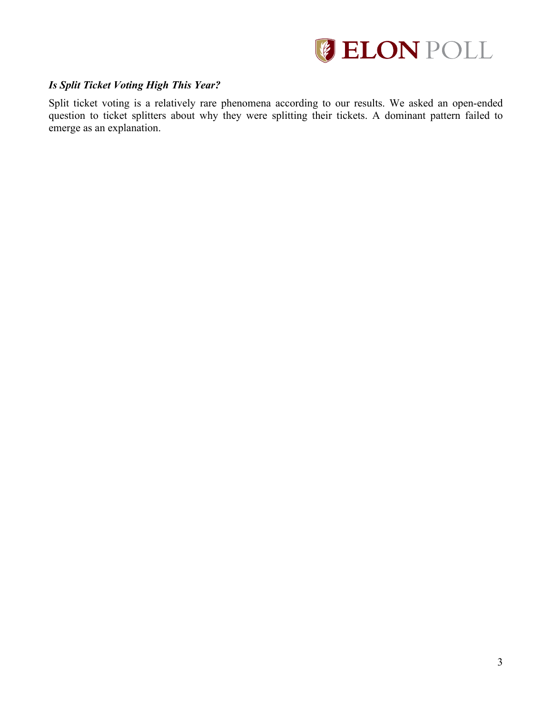

# *Is Split Ticket Voting High This Year?*

Split ticket voting is a relatively rare phenomena according to our results. We asked an open-ended question to ticket splitters about why they were splitting their tickets. A dominant pattern failed to emerge as an explanation.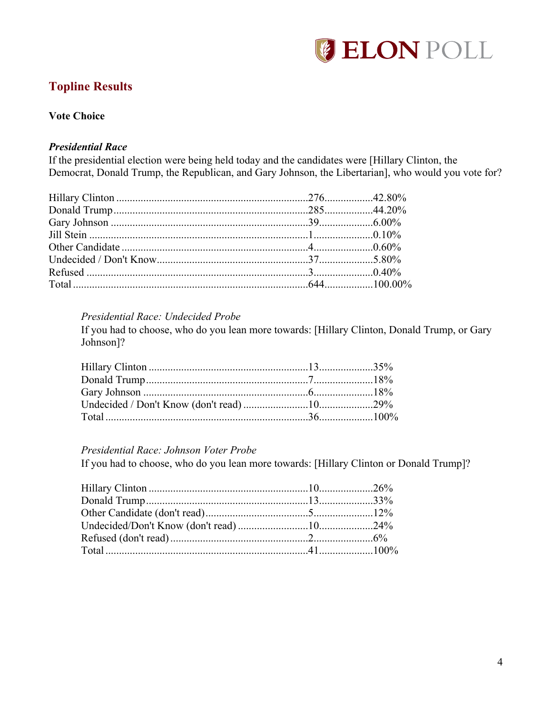

# **Topline Results**

# **Vote Choice**

## *Presidential Race*

If the presidential election were being held today and the candidates were [Hillary Clinton, the Democrat, Donald Trump, the Republican, and Gary Johnson, the Libertarian], who would you vote for?

### *Presidential Race: Undecided Probe*

If you had to choose, who do you lean more towards: [Hillary Clinton, Donald Trump, or Gary Johnson]?

#### *Presidential Race: Johnson Voter Probe*

If you had to choose, who do you lean more towards: [Hillary Clinton or Donald Trump]?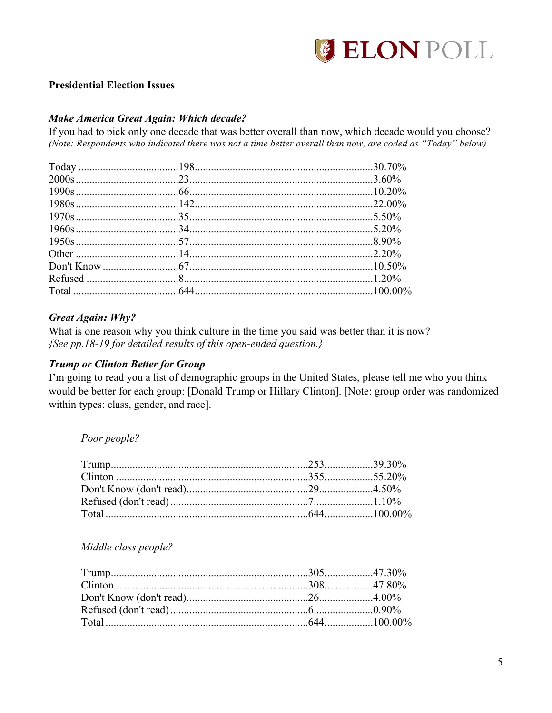

# **Presidential Election Issues**

## **Make America Great Again: Which decade?**

If you had to pick only one decade that was better overall than now, which decade would you choose? (Note: Respondents who indicated there was not a time better overall than now, are coded as "Today" below)

## **Great Again: Why?**

What is one reason why you think culture in the time you said was better than it is now? {See pp.18-19 for detailed results of this open-ended question.}

#### **Trump or Clinton Better for Group**

I'm going to read you a list of demographic groups in the United States, please tell me who you think would be better for each group: [Donald Trump or Hillary Clinton]. [Note: group order was randomized within types: class, gender, and race].

#### Poor people?

#### Middle class people?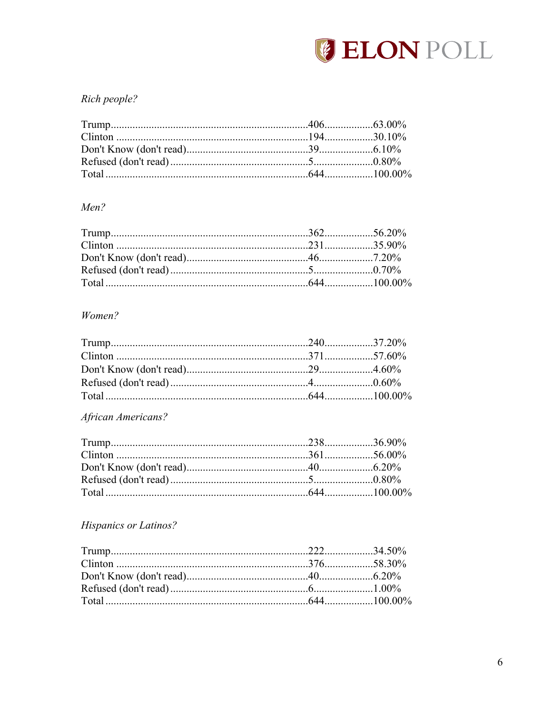

# Rich people?

# Men?

# Women?

# African Americans?

# **Hispanics or Latinos?**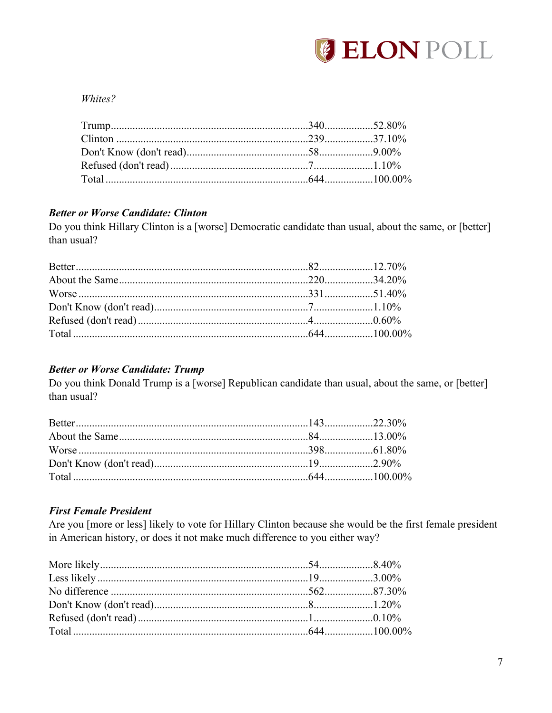

## Whites?

## **Better or Worse Candidate: Clinton**

Do you think Hillary Clinton is a [worse] Democratic candidate than usual, about the same, or [better] than usual?

# **Better or Worse Candidate: Trump**

Do you think Donald Trump is a [worse] Republican candidate than usual, about the same, or [better] than usual?

# **First Female President**

Are you [more or less] likely to vote for Hillary Clinton because she would be the first female president in American history, or does it not make much difference to you either way?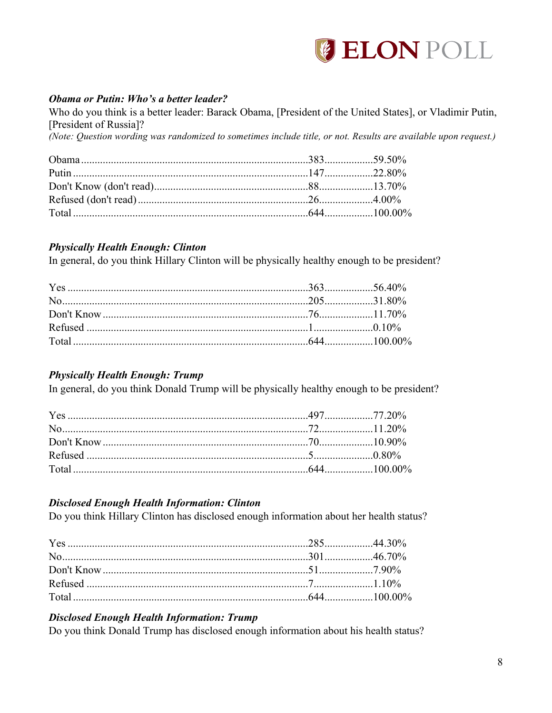

# Obama or Putin: Who's a better leader?

Who do you think is a better leader: Barack Obama, [President of the United States], or Vladimir Putin, [President of Russia]? (Note: Question wording was randomized to sometimes include title, or not. Results are available upon request.)

# **Physically Health Enough: Clinton**

In general, do you think Hillary Clinton will be physically healthy enough to be president?

# **Physically Health Enough: Trump**

In general, do you think Donald Trump will be physically healthy enough to be president?

# **Disclosed Enough Health Information: Clinton**

Do you think Hillary Clinton has disclosed enough information about her health status?

# **Disclosed Enough Health Information: Trump**

Do you think Donald Trump has disclosed enough information about his health status?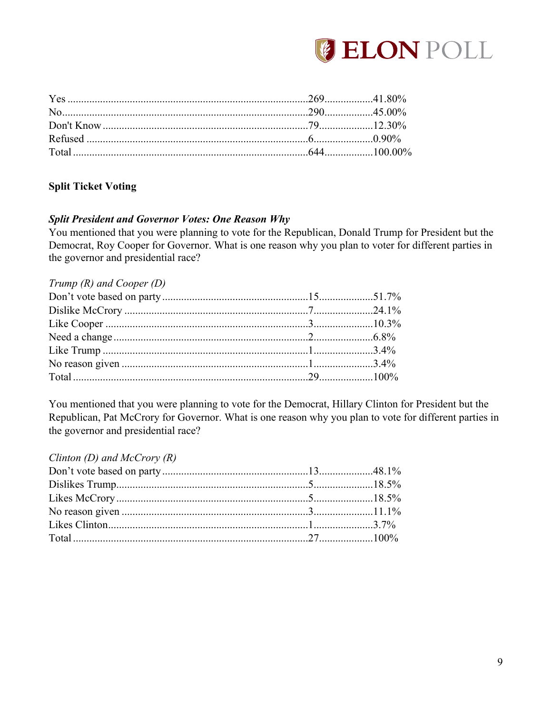

# **Split Ticket Voting**

## **Split President and Governor Votes: One Reason Why**

You mentioned that you were planning to vote for the Republican, Donald Trump for President but the Democrat, Roy Cooper for Governor. What is one reason why you plan to voter for different parties in the governor and presidential race?

| Trump $(R)$ and Cooper $(D)$ |  |
|------------------------------|--|
|                              |  |
|                              |  |
|                              |  |
|                              |  |
|                              |  |
|                              |  |
|                              |  |
|                              |  |

You mentioned that you were planning to vote for the Democrat, Hillary Clinton for President but the Republican, Pat McCrory for Governor. What is one reason why you plan to vote for different parties in the governor and presidential race?

#### Clinton (D) and McCrory  $(R)$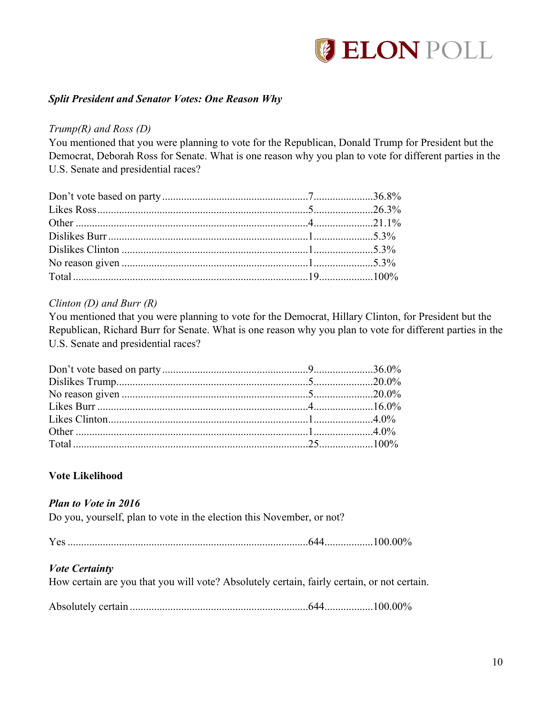

## *Split President and Senator Votes: One Reason Why*

#### *Trump(R) and Ross (D)*

You mentioned that you were planning to vote for the Republican, Donald Trump for President but the Democrat, Deborah Ross for Senate. What is one reason why you plan to vote for different parties in the U.S. Senate and presidential races?

#### *Clinton (D) and Burr (R)*

You mentioned that you were planning to vote for the Democrat, Hillary Clinton, for President but the Republican, Richard Burr for Senate. What is one reason why you plan to vote for different parties in the U.S. Senate and presidential races?

### **Vote Likelihood**

#### *Plan to Vote in 2016*

Do you, yourself, plan to vote in the election this November, or not?

|--|--|--|

#### *Vote Certainty*

How certain are you that you will vote? Absolutely certain, fairly certain, or not certain.

Absolutely certain ..................................................................644..................100.00%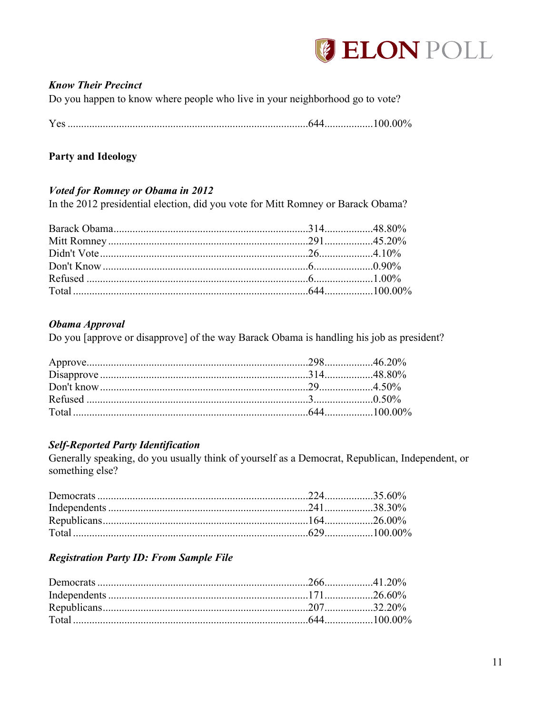

## **Know Their Precinct**

Do you happen to know where people who live in your neighborhood go to vote?

| - - | ,,,,<br>∕ \ l |
|-----|---------------|
|     |               |

## **Party and Ideology**

## **Voted for Romney or Obama in 2012**

In the 2012 presidential election, did you vote for Mitt Romney or Barack Obama?

#### Obama Approval

Do you [approve or disapprove] of the way Barack Obama is handling his job as president?

### **Self-Reported Party Identification**

Generally speaking, do you usually think of yourself as a Democrat, Republican, Independent, or something else?

# **Registration Party ID: From Sample File**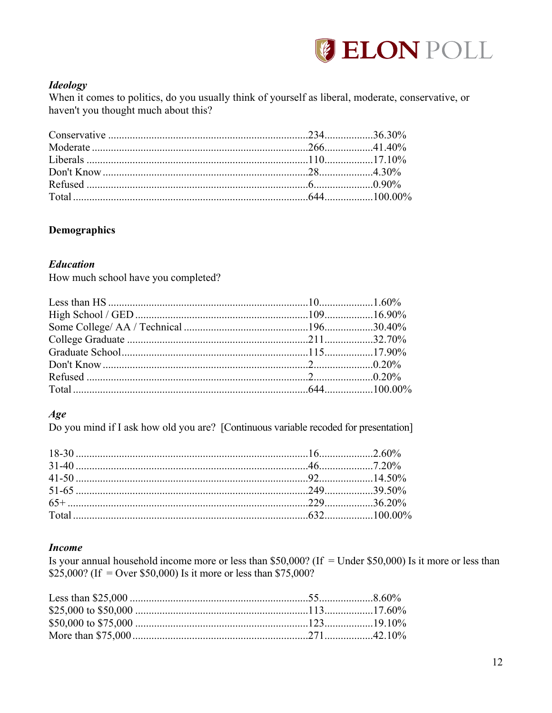

## **Ideology**

When it comes to politics, do you usually think of yourself as liberal, moderate, conservative, or haven't you thought much about this?

# **Demographics**

### **Education**

How much school have you completed?

# $Age$

Do you mind if I ask how old you are? [Continuous variable recoded for presentation]

#### **Income**

Is your annual household income more or less than \$50,000? (If = Under \$50,000) Is it more or less than \$25,000? (If = Over \$50,000) Is it more or less than \$75,000?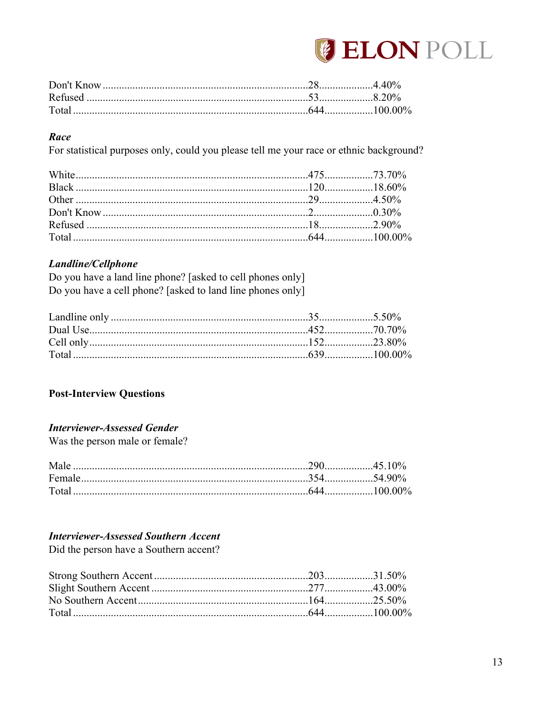

| Total |  |
|-------|--|

## Race

For statistical purposes only, could you please tell me your race or ethnic background?

# Landline/Cellphone

Do you have a land line phone? [asked to cell phones only] Do you have a cell phone? [asked to land line phones only]

# **Post-Interview Questions**

# **Interviewer-Assessed Gender**

Was the person male or female?

| Male              |               |
|-------------------|---------------|
| Female            |               |
| Tota <sub>i</sub> | $644$ 100 00% |

# **Interviewer-Assessed Southern Accent**

Did the person have a Southern accent?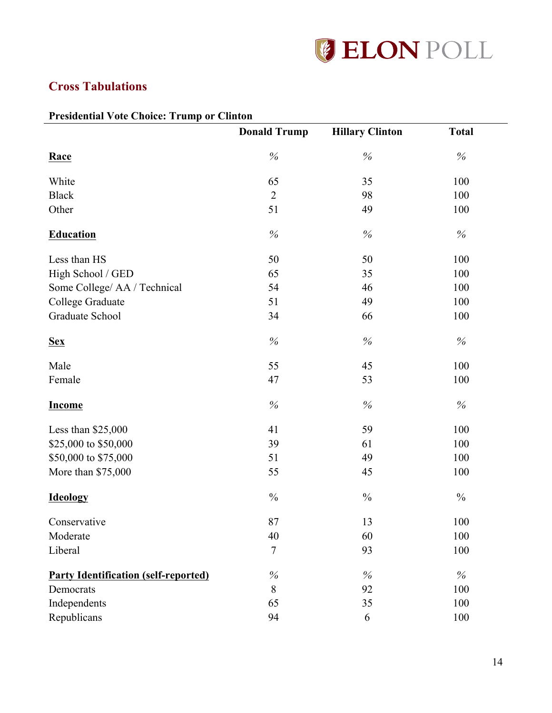

# **Cross Tabulations**

# **Presidential Vote Choice: Trump or Clinton**

| $\cdots$                                    | or cumon<br><b>Donald Trump</b> | <b>Hillary Clinton</b> | <b>Total</b>  |
|---------------------------------------------|---------------------------------|------------------------|---------------|
| Race                                        | $\%$                            | $\%$                   | $\%$          |
| White                                       | 65                              | 35                     | 100           |
| <b>Black</b>                                | $\overline{2}$                  | 98                     | 100           |
| Other                                       | 51                              | 49                     | 100           |
| <b>Education</b>                            | $\%$                            | $\%$                   | $\%$          |
| Less than HS                                | 50                              | 50                     | 100           |
| High School / GED                           | 65                              | 35                     | 100           |
| Some College/ AA / Technical                | 54                              | 46                     | 100           |
| College Graduate                            | 51                              | 49                     | 100           |
| Graduate School                             | 34                              | 66                     | 100           |
| <b>Sex</b>                                  | $\%$                            | $\%$                   | $\%$          |
| Male                                        | 55                              | 45                     | 100           |
| Female                                      | 47                              | 53                     | 100           |
| <b>Income</b>                               | $\%$                            | $\%$                   | $\%$          |
| Less than $$25,000$                         | 41                              | 59                     | 100           |
| \$25,000 to \$50,000                        | 39                              | 61                     | 100           |
| \$50,000 to \$75,000                        | 51                              | 49                     | 100           |
| More than \$75,000                          | 55                              | 45                     | 100           |
| <b>Ideology</b>                             | $\%$                            | $\frac{0}{0}$          | $\frac{0}{0}$ |
| Conservative                                | 87                              | 13                     | 100           |
| Moderate                                    | 40                              | 60                     | 100           |
| Liberal                                     | $\overline{7}$                  | 93                     | 100           |
| <b>Party Identification (self-reported)</b> | $\%$                            | $\%$                   | %             |
| Democrats                                   | 8                               | 92                     | 100           |
| Independents                                | 65                              | 35                     | 100           |
| Republicans                                 | 94                              | 6                      | 100           |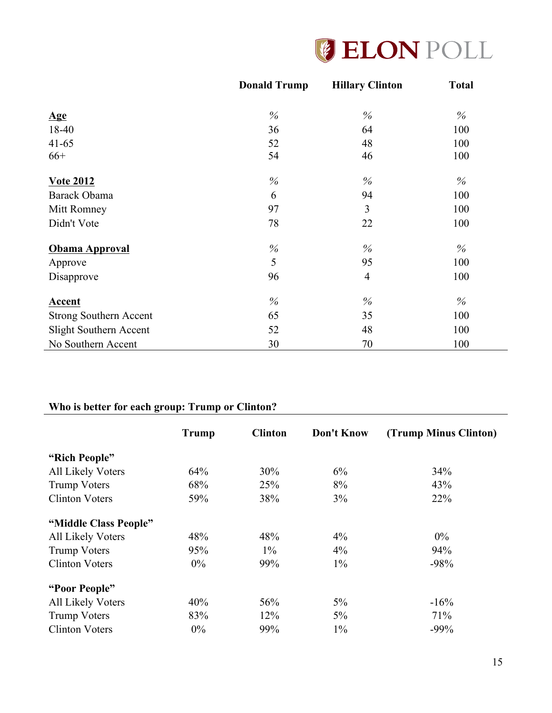

|                               | <b>Donald Trump</b> | <b>Hillary Clinton</b> | <b>Total</b> |
|-------------------------------|---------------------|------------------------|--------------|
|                               |                     |                        |              |
| $\mathbf{Age}$                | $\%$                | $\%$                   | $\%$         |
| 18-40                         | 36                  | 64                     | 100          |
| $41 - 65$                     | 52                  | 48                     | 100          |
| $66+$                         | 54                  | 46                     | 100          |
| <b>Vote 2012</b>              | $\%$                | $\%$                   | $\%$         |
| Barack Obama                  | 6                   | 94                     | 100          |
| Mitt Romney                   | 97                  | 3                      | 100          |
| Didn't Vote                   | 78                  | 22                     | 100          |
| <b>Obama Approval</b>         | $\%$                | $\%$                   | $\%$         |
| Approve                       | 5                   | 95                     | 100          |
| Disapprove                    | 96                  | $\overline{4}$         | 100          |
| Accent                        | $\%$                | $\%$                   | $\%$         |
| <b>Strong Southern Accent</b> | 65                  | 35                     | 100          |
| Slight Southern Accent        | 52                  | 48                     | 100          |
| No Southern Accent            | 30                  | 70                     | 100          |

# **Who is better for each group: Trump or Clinton?**

|                          | <b>Trump</b> | <b>Clinton</b> | Don't Know | (Trump Minus Clinton) |
|--------------------------|--------------|----------------|------------|-----------------------|
| "Rich People"            |              |                |            |                       |
| <b>All Likely Voters</b> | 64%          | 30%            | 6%         | 34%                   |
| <b>Trump Voters</b>      | 68%          | 25%            | 8%         | 43%                   |
| <b>Clinton Voters</b>    | 59%          | 38%            | 3%         | 22%                   |
| "Middle Class People"    |              |                |            |                       |
| <b>All Likely Voters</b> | 48%          | 48%            | $4\%$      | $0\%$                 |
| <b>Trump Voters</b>      | 95%          | $1\%$          | $4\%$      | 94%                   |
| <b>Clinton Voters</b>    | $0\%$        | 99%            | $1\%$      | $-98%$                |
| "Poor People"            |              |                |            |                       |
| <b>All Likely Voters</b> | 40%          | 56%            | $5\%$      | $-16%$                |
| <b>Trump Voters</b>      | 83%          | 12%            | $5\%$      | 71%                   |
| <b>Clinton Voters</b>    | $0\%$        | 99%            | $1\%$      | $-99%$                |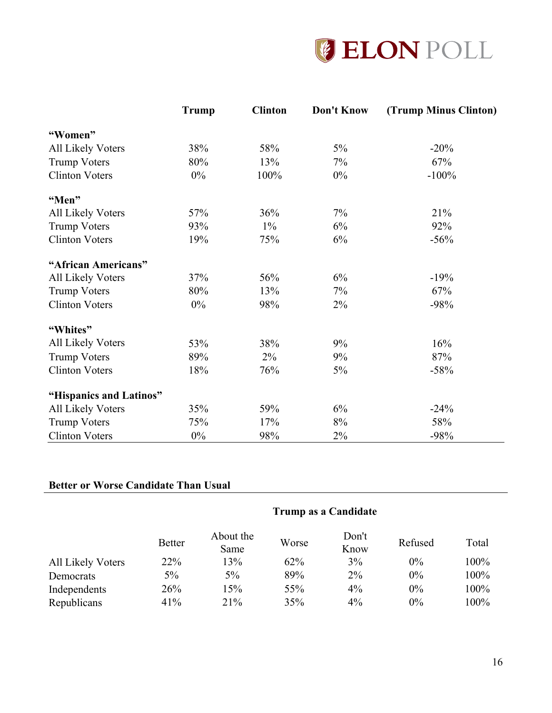

|                          | <b>Trump</b> | <b>Clinton</b> | Don't Know | (Trump Minus Clinton) |
|--------------------------|--------------|----------------|------------|-----------------------|
| "Women"                  |              |                |            |                       |
| All Likely Voters        | 38%          | 58%            | 5%         | $-20%$                |
| <b>Trump Voters</b>      | 80%          | 13%            | 7%         | 67%                   |
| <b>Clinton Voters</b>    | 0%           | 100%           | $0\%$      | $-100%$               |
| "Men"                    |              |                |            |                       |
| <b>All Likely Voters</b> | 57%          | 36%            | 7%         | 21%                   |
| <b>Trump Voters</b>      | 93%          | $1\%$          | 6%         | 92%                   |
| <b>Clinton Voters</b>    | 19%          | 75%            | 6%         | $-56%$                |
| "African Americans"      |              |                |            |                       |
| <b>All Likely Voters</b> | 37%          | 56%            | 6%         | $-19%$                |
| <b>Trump Voters</b>      | 80%          | 13%            | 7%         | 67%                   |
| <b>Clinton Voters</b>    | $0\%$        | 98%            | 2%         | $-98%$                |
| "Whites"                 |              |                |            |                       |
| <b>All Likely Voters</b> | 53%          | 38%            | 9%         | 16%                   |
| <b>Trump Voters</b>      | 89%          | $2\%$          | 9%         | 87%                   |
| <b>Clinton Voters</b>    | 18%          | 76%            | 5%         | $-58%$                |
| "Hispanics and Latinos"  |              |                |            |                       |
| All Likely Voters        | 35%          | 59%            | $6\%$      | $-24%$                |
| Trump Voters             | 75%          | 17%            | 8%         | 58%                   |
| <b>Clinton Voters</b>    | $0\%$        | 98%            | 2%         | $-98%$                |

# **Better or Worse Candidate Than Usual**

|                          | Trump as a Candidate |                   |       |               |         |       |  |
|--------------------------|----------------------|-------------------|-------|---------------|---------|-------|--|
|                          | <b>Better</b>        | About the<br>Same | Worse | Don't<br>Know | Refused | Total |  |
| <b>All Likely Voters</b> | 22%                  | 13%               | 62%   | 3%            | $0\%$   | 100%  |  |
| Democrats                | 5%                   | $5\%$             | 89%   | $2\%$         | $0\%$   | 100%  |  |
| Independents             | 26%                  | 15%               | 55%   | $4\%$         | 0%      | 100%  |  |
| Republicans              | 41%                  | 21%               | 35%   | $4\%$         | $0\%$   | 100%  |  |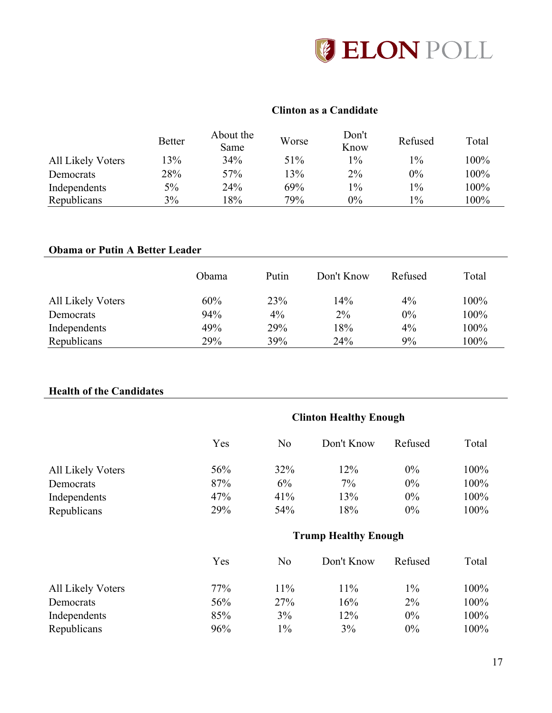

# **Clinton as a Candidate**

|                   | <b>Better</b> | About the<br>Same | Worse | Don't<br>Know | Refused | Total |
|-------------------|---------------|-------------------|-------|---------------|---------|-------|
| All Likely Voters | 13%           | 34%               | 51%   | $1\%$         | $1\%$   | 100%  |
| Democrats         | 28%           | 57%               | 13%   | $2\%$         | $0\%$   | 100%  |
| Independents      | 5%            | 24%               | 69%   | $1\%$         | $1\%$   | 100%  |
| Republicans       | 3%            | 18%               | 79%   | $0\%$         | $1\%$   | 100%  |

# **Obama or Putin A Better Leader**

|                          | Obama | Putin | Don't Know | Refused | Total |
|--------------------------|-------|-------|------------|---------|-------|
| <b>All Likely Voters</b> | 60%   | 23%   | 14%        | $4\%$   | 100%  |
| Democrats                | 94%   | $4\%$ | 2%         | $0\%$   | 100%  |
| Independents             | 49%   | 29%   | 18%        | $4\%$   | 100%  |
| Republicans              | 29%   | 39%   | 24%        | 9%      | 100%  |

# **Health of the Candidates**

|                          | <b>Clinton Healthy Enough</b> |                |                             |         |       |  |
|--------------------------|-------------------------------|----------------|-----------------------------|---------|-------|--|
|                          | Yes                           | N <sub>0</sub> | Don't Know                  | Refused | Total |  |
| <b>All Likely Voters</b> | 56%                           | 32%            | 12%                         | $0\%$   | 100%  |  |
| Democrats                | 87%                           | 6%             | $7\%$                       | $0\%$   | 100%  |  |
| Independents             | 47%                           | 41%            | 13%                         | $0\%$   | 100%  |  |
| Republicans              | 29%                           | 54%            | 18%                         | 0%      | 100%  |  |
|                          |                               |                | <b>Trump Healthy Enough</b> |         |       |  |
|                          | Yes                           | N <sub>0</sub> | Don't Know                  | Refused | Total |  |
| <b>All Likely Voters</b> | 77%                           | 11%            | 11%                         | $1\%$   | 100%  |  |
| Democrats                | 56%                           | 27%            | 16%                         | $2\%$   | 100%  |  |
| Independents             | 85%                           | 3%             | 12%                         | $0\%$   | 100%  |  |
| Republicans              | 96%                           | $1\%$          | 3%                          | 0%      | 100%  |  |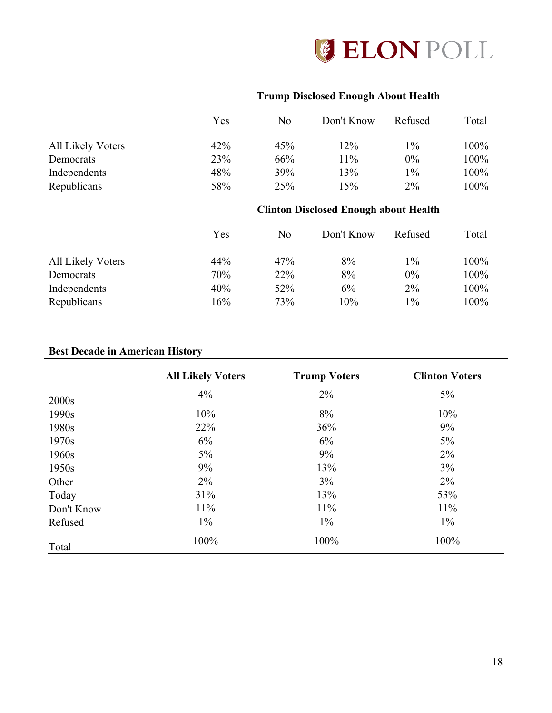

# **Trump Disclosed Enough About Health**

|                   | Yes                                          | N <sub>o</sub> | Don't Know | Refused | Total |  |
|-------------------|----------------------------------------------|----------------|------------|---------|-------|--|
| All Likely Voters | 42%                                          | 45%            | 12%        | $1\%$   | 100%  |  |
| Democrats         | 23%                                          | 66%            | 11%        | $0\%$   | 100%  |  |
| Independents      | 48%                                          | 39%            | 13%        | $1\%$   | 100%  |  |
| Republicans       | 58%                                          | 25%            | 15%        | $2\%$   | 100%  |  |
|                   | <b>Clinton Disclosed Enough about Health</b> |                |            |         |       |  |
|                   | Yes                                          | N <sub>0</sub> | Don't Know | Refused | Total |  |
| All Likely Voters | 44%                                          | 47%            | 8%         | $1\%$   | 100%  |  |
| Democrats         | 70%                                          | 22%            | 8%         | $0\%$   | 100%  |  |
| Independents      | 40%                                          | 52%            | 6%         | $2\%$   | 100%  |  |
| Republicans       | 16%                                          | 73%            | 10%        | $1\%$   | 100%  |  |

# **Best Decade in American History**

|            | <b>All Likely Voters</b> | <b>Trump Voters</b> | <b>Clinton Voters</b> |
|------------|--------------------------|---------------------|-----------------------|
| 2000s      | 4%                       | 2%                  | $5\%$                 |
| 1990s      | 10%                      | 8%                  | 10%                   |
| 1980s      | 22%                      | 36%                 | 9%                    |
| 1970s      | 6%                       | 6%                  | $5\%$                 |
| 1960s      | $5\%$                    | 9%                  | 2%                    |
| 1950s      | 9%                       | 13%                 | $3\%$                 |
| Other      | $2\%$                    | 3%                  | $2\%$                 |
| Today      | 31%                      | 13%                 | 53%                   |
| Don't Know | $11\%$                   | 11%                 | 11%                   |
| Refused    | $1\%$                    | $1\%$               | $1\%$                 |
| Total      | 100%                     | 100%                | 100%                  |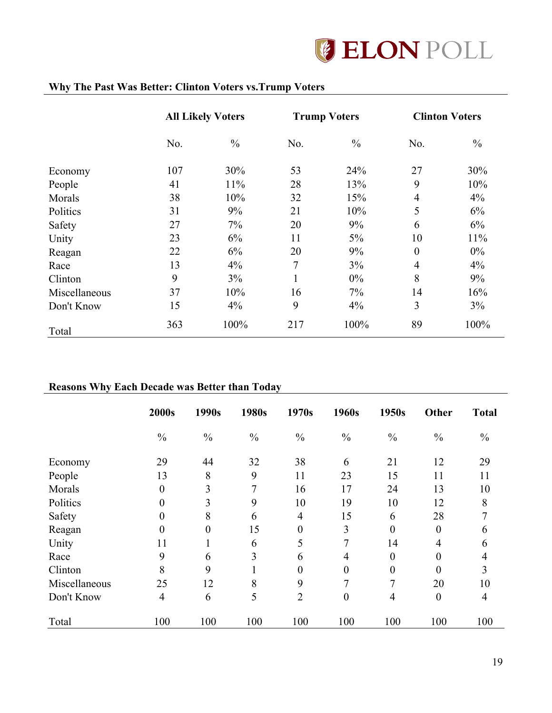

# **Why The Past Was Better: Clinton Voters vs.Trump Voters**

|               | <b>All Likely Voters</b> |               | <b>Trump Voters</b> |               | <b>Clinton Voters</b> |               |
|---------------|--------------------------|---------------|---------------------|---------------|-----------------------|---------------|
|               | No.                      | $\frac{0}{0}$ | No.                 | $\frac{0}{0}$ | No.                   | $\frac{0}{0}$ |
| Economy       | 107                      | 30%           | 53                  | 24%           | 27                    | 30%           |
| People        | 41                       | 11%           | 28                  | 13%           | 9                     | 10%           |
| Morals        | 38                       | 10%           | 32                  | 15%           | $\overline{4}$        | 4%            |
| Politics      | 31                       | 9%            | 21                  | 10%           | 5                     | 6%            |
| Safety        | 27                       | 7%            | 20                  | 9%            | 6                     | 6%            |
| Unity         | 23                       | 6%            | 11                  | $5\%$         | 10                    | 11%           |
| Reagan        | 22                       | 6%            | 20                  | 9%            | $\boldsymbol{0}$      | $0\%$         |
| Race          | 13                       | 4%            | 7                   | $3\%$         | $\overline{4}$        | 4%            |
| Clinton       | 9                        | 3%            | -1                  | $0\%$         | 8                     | 9%            |
| Miscellaneous | 37                       | 10%           | 16                  | $7\%$         | 14                    | 16%           |
| Don't Know    | 15                       | $4\%$         | 9                   | 4%            | 3                     | 3%            |
| Total         | 363                      | 100%          | 217                 | 100%          | 89                    | 100%          |

# **Reasons Why Each Decade was Better than Today**

|               | 2000s          | 1990s            | 1980s          | 1970s            | 1960s            | 1950s            | <b>Other</b>     | <b>Total</b>   |
|---------------|----------------|------------------|----------------|------------------|------------------|------------------|------------------|----------------|
|               | $\frac{0}{0}$  | $\frac{0}{0}$    | $\frac{0}{0}$  | $\frac{0}{0}$    | $\frac{0}{0}$    | $\frac{0}{0}$    | $\frac{0}{0}$    | $\frac{0}{0}$  |
| Economy       | 29             | 44               | 32             | 38               | 6                | 21               | 12               | 29             |
| People        | 13             | 8                | 9              | 11               | 23               | 15               | 11               | 11             |
| Morals        | $\overline{0}$ | 3                | 7              | 16               | 17               | 24               | 13               | 10             |
| Politics      | $\overline{0}$ | 3                | 9              | 10               | 19               | 10               | 12               | 8              |
| Safety        | $\overline{0}$ | 8                | 6              | $\overline{4}$   | 15               | 6                | 28               | 7              |
| Reagan        | $\overline{0}$ | $\boldsymbol{0}$ | 15             | $\boldsymbol{0}$ | 3                | $\overline{0}$   | $\boldsymbol{0}$ | 6              |
| Unity         | 11             |                  | 6              | 5                | 7                | 14               | 4                | 6              |
| Race          | 9              | 6                | $\overline{3}$ | 6                | 4                | $\overline{0}$   | $\boldsymbol{0}$ | 4              |
| Clinton       | 8              | 9                |                | 0                | $\boldsymbol{0}$ | $\boldsymbol{0}$ | $\boldsymbol{0}$ | 3              |
| Miscellaneous | 25             | 12               | 8              | 9                | 7                | 7                | 20               | 10             |
| Don't Know    | $\overline{4}$ | 6                | 5              | $\overline{2}$   | $\overline{0}$   | $\overline{4}$   | $\boldsymbol{0}$ | $\overline{4}$ |
| Total         | 100            | 100              | 100            | 100              | 100              | 100              | 100              | 100            |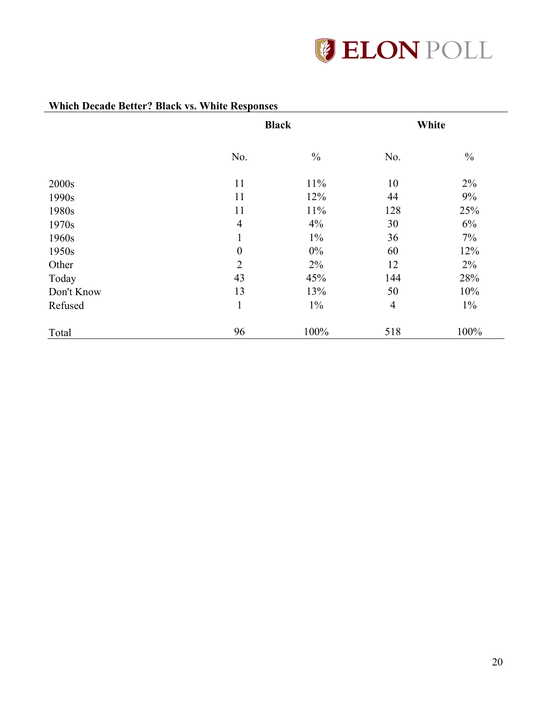

|            |                  | <b>Black</b>  |                | White         |
|------------|------------------|---------------|----------------|---------------|
|            | No.              | $\frac{0}{0}$ | No.            | $\frac{0}{0}$ |
| 2000s      | 11               | 11%           | 10             | 2%            |
| 1990s      | 11               | 12%           | 44             | 9%            |
| 1980s      | 11               | 11%           | 128            | 25%           |
| 1970s      | $\overline{4}$   | 4%            | 30             | 6%            |
| 1960s      | 1                | $1\%$         | 36             | 7%            |
| 1950s      | $\boldsymbol{0}$ | $0\%$         | 60             | 12%           |
| Other      | $\overline{2}$   | $2\%$         | 12             | $2\%$         |
| Today      | 43               | 45%           | 144            | 28%           |
| Don't Know | 13               | 13%           | 50             | 10%           |
| Refused    | $\mathbf{1}$     | $1\%$         | $\overline{4}$ | $1\%$         |
| Total      | 96               | 100%          | 518            | 100%          |

# **Which Decade Better? Black vs. White Responses**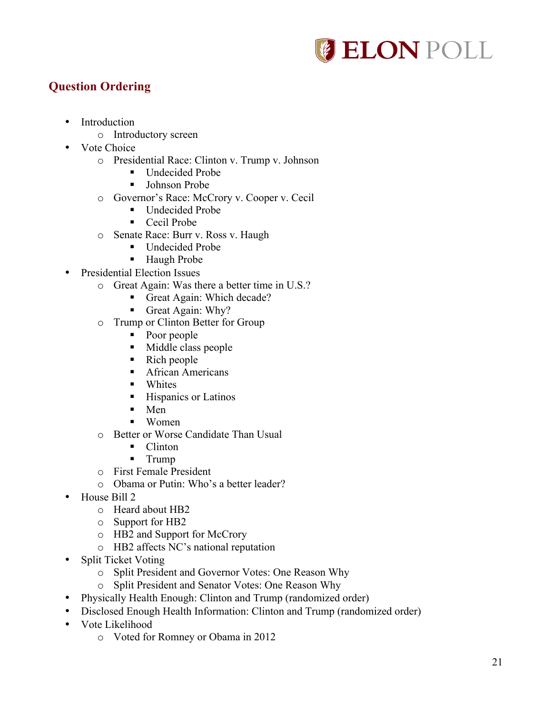

# **Question Ordering**

- Introduction
	- o Introductory screen
- Vote Choice
	- o Presidential Race: Clinton v. Trump v. Johnson
		- Undecided Probe
		- Johnson Probe
	- o Governor's Race: McCrory v. Cooper v. Cecil
		- Undecided Probe
		- Cecil Probe
	- o Senate Race: Burr v. Ross v. Haugh
		- Undecided Probe
		- Haugh Probe
- Presidential Election Issues
	- o Great Again: Was there a better time in U.S.?
		- Great Again: Which decade?
		- Great Again: Why?
	- o Trump or Clinton Better for Group
		- Poor people
		- § Middle class people
		- Rich people
		- African Americans
		- Whites
		- Hispanics or Latinos
		- Men
		- Women
	- o Better or Worse Candidate Than Usual
		- Clinton
		- § Trump
	- o First Female President
	- o Obama or Putin: Who's a better leader?
- House Bill 2
	- o Heard about HB2
	- o Support for HB2
	- o HB2 and Support for McCrory
	- o HB2 affects NC's national reputation
- Split Ticket Voting
	- o Split President and Governor Votes: One Reason Why
	- o Split President and Senator Votes: One Reason Why
- Physically Health Enough: Clinton and Trump (randomized order)
- Disclosed Enough Health Information: Clinton and Trump (randomized order)
- Vote Likelihood
	- o Voted for Romney or Obama in 2012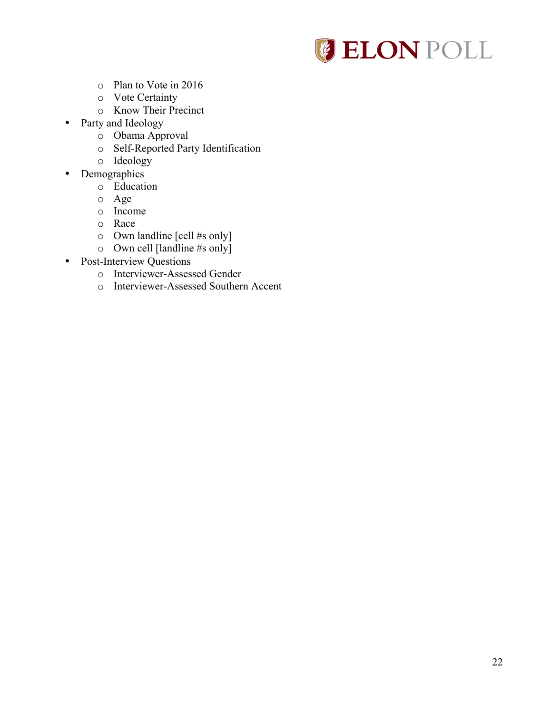

- o Plan to Vote in 2016
- o Vote Certainty
- o Know Their Precinct
- Party and Ideology
	- o Obama Approval
	- o Self-Reported Party Identification
	- o Ideology
- Demographics
	- o Education
	- o Age
	- o Income
	- o Race
	- o Own landline [cell #s only]
	- o Own cell [landline #s only]
- Post-Interview Questions
	- o Interviewer-Assessed Gender
	- o Interviewer-Assessed Southern Accent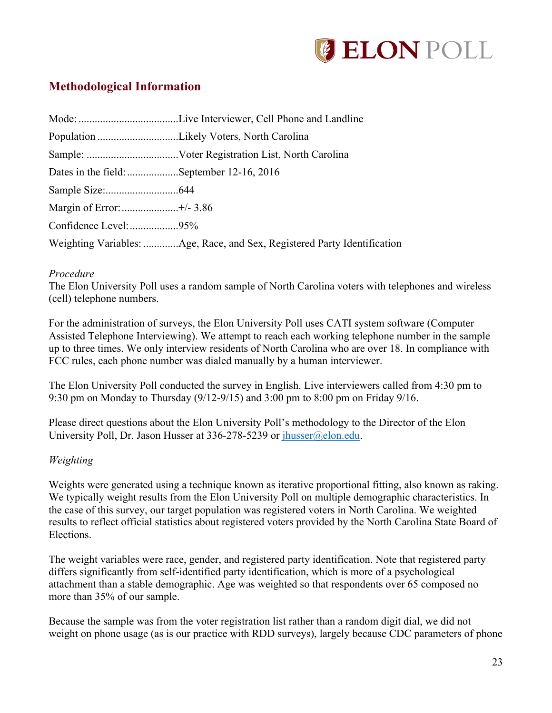

# **Methodological Information**

| Dates in the field: September 12-16, 2016 |                                                                          |  |  |  |
|-------------------------------------------|--------------------------------------------------------------------------|--|--|--|
|                                           |                                                                          |  |  |  |
|                                           |                                                                          |  |  |  |
|                                           |                                                                          |  |  |  |
|                                           | Weighting Variables: Age, Race, and Sex, Registered Party Identification |  |  |  |

#### *Procedure*

The Elon University Poll uses a random sample of North Carolina voters with telephones and wireless (cell) telephone numbers.

For the administration of surveys, the Elon University Poll uses CATI system software (Computer Assisted Telephone Interviewing). We attempt to reach each working telephone number in the sample up to three times. We only interview residents of North Carolina who are over 18. In compliance with FCC rules, each phone number was dialed manually by a human interviewer.

The Elon University Poll conducted the survey in English. Live interviewers called from 4:30 pm to 9:30 pm on Monday to Thursday (9/12-9/15) and 3:00 pm to 8:00 pm on Friday 9/16.

Please direct questions about the Elon University Poll's methodology to the Director of the Elon University Poll, Dr. Jason Husser at 336-278-5239 or jhusser@elon.edu.

#### *Weighting*

Weights were generated using a technique known as iterative proportional fitting, also known as raking. We typically weight results from the Elon University Poll on multiple demographic characteristics. In the case of this survey, our target population was registered voters in North Carolina. We weighted results to reflect official statistics about registered voters provided by the North Carolina State Board of Elections.

The weight variables were race, gender, and registered party identification. Note that registered party differs significantly from self-identified party identification, which is more of a psychological attachment than a stable demographic. Age was weighted so that respondents over 65 composed no more than 35% of our sample.

Because the sample was from the voter registration list rather than a random digit dial, we did not weight on phone usage (as is our practice with RDD surveys), largely because CDC parameters of phone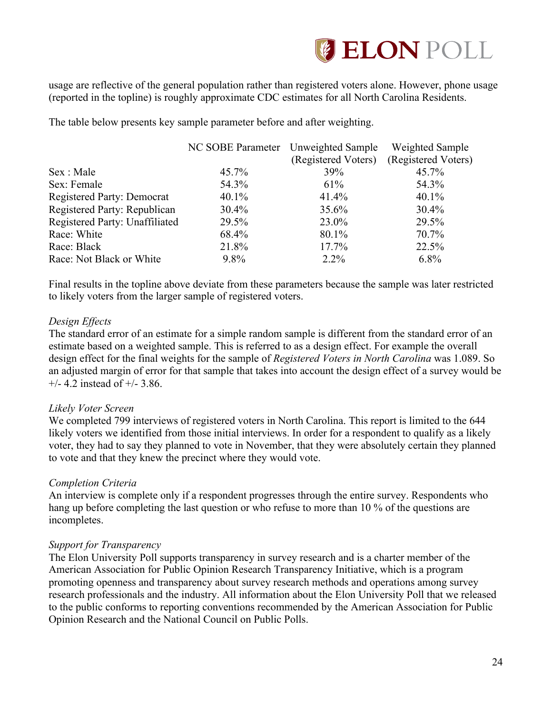

usage are reflective of the general population rather than registered voters alone. However, phone usage (reported in the topline) is roughly approximate CDC estimates for all North Carolina Residents.

The table below presents key sample parameter before and after weighting.

|                                   | NC SOBE Parameter Unweighted Sample |                     | Weighted Sample     |
|-----------------------------------|-------------------------------------|---------------------|---------------------|
|                                   |                                     | (Registered Voters) | (Registered Voters) |
| Sex : Male                        | 45.7%                               | 39%                 | 45.7%               |
| Sex: Female                       | 54.3%                               | 61%                 | 54.3%               |
| <b>Registered Party: Democrat</b> | $40.1\%$                            | 41.4%               | $40.1\%$            |
| Registered Party: Republican      | $30.4\%$                            | 35.6%               | $30.4\%$            |
| Registered Party: Unaffiliated    | 29.5%                               | 23.0%               | 29.5%               |
| Race: White                       | 68.4%                               | 80.1%               | 70.7%               |
| Race: Black                       | 21.8%                               | 17.7%               | 22.5%               |
| Race: Not Black or White          | $9.8\%$                             | $2.2\%$             | $6.8\%$             |

Final results in the topline above deviate from these parameters because the sample was later restricted to likely voters from the larger sample of registered voters.

## *Design Effects*

The standard error of an estimate for a simple random sample is different from the standard error of an estimate based on a weighted sample. This is referred to as a design effect. For example the overall design effect for the final weights for the sample of *Registered Voters in North Carolina* was 1.089. So an adjusted margin of error for that sample that takes into account the design effect of a survey would be  $+/- 4.2$  instead of  $+/- 3.86$ .

#### *Likely Voter Screen*

We completed 799 interviews of registered voters in North Carolina. This report is limited to the 644 likely voters we identified from those initial interviews. In order for a respondent to qualify as a likely voter, they had to say they planned to vote in November, that they were absolutely certain they planned to vote and that they knew the precinct where they would vote.

# *Completion Criteria*

An interview is complete only if a respondent progresses through the entire survey. Respondents who hang up before completing the last question or who refuse to more than 10 % of the questions are incompletes.

#### *Support for Transparency*

The Elon University Poll supports transparency in survey research and is a charter member of the American Association for Public Opinion Research Transparency Initiative, which is a program promoting openness and transparency about survey research methods and operations among survey research professionals and the industry. All information about the Elon University Poll that we released to the public conforms to reporting conventions recommended by the American Association for Public Opinion Research and the National Council on Public Polls.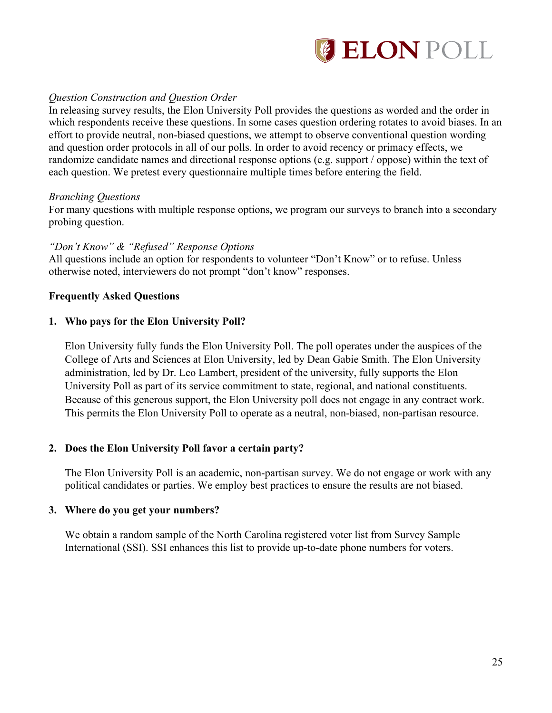

## *Question Construction and Question Order*

In releasing survey results, the Elon University Poll provides the questions as worded and the order in which respondents receive these questions. In some cases question ordering rotates to avoid biases. In an effort to provide neutral, non-biased questions, we attempt to observe conventional question wording and question order protocols in all of our polls. In order to avoid recency or primacy effects, we randomize candidate names and directional response options (e.g. support / oppose) within the text of each question. We pretest every questionnaire multiple times before entering the field.

#### *Branching Questions*

For many questions with multiple response options, we program our surveys to branch into a secondary probing question.

## *"Don't Know" & "Refused" Response Options*

All questions include an option for respondents to volunteer "Don't Know" or to refuse. Unless otherwise noted, interviewers do not prompt "don't know" responses.

#### **Frequently Asked Questions**

#### **1. Who pays for the Elon University Poll?**

Elon University fully funds the Elon University Poll. The poll operates under the auspices of the College of Arts and Sciences at Elon University, led by Dean Gabie Smith. The Elon University administration, led by Dr. Leo Lambert, president of the university, fully supports the Elon University Poll as part of its service commitment to state, regional, and national constituents. Because of this generous support, the Elon University poll does not engage in any contract work. This permits the Elon University Poll to operate as a neutral, non-biased, non-partisan resource.

#### **2. Does the Elon University Poll favor a certain party?**

The Elon University Poll is an academic, non-partisan survey. We do not engage or work with any political candidates or parties. We employ best practices to ensure the results are not biased.

### **3. Where do you get your numbers?**

We obtain a random sample of the North Carolina registered voter list from Survey Sample International (SSI). SSI enhances this list to provide up-to-date phone numbers for voters.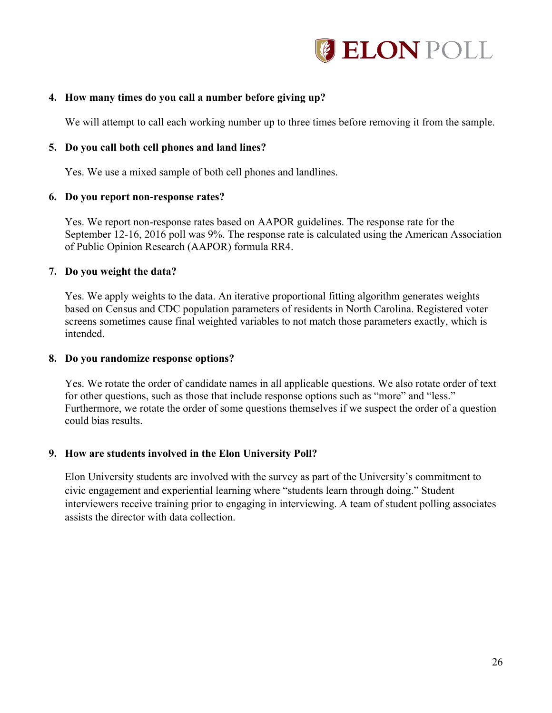

## **4. How many times do you call a number before giving up?**

We will attempt to call each working number up to three times before removing it from the sample.

#### **5. Do you call both cell phones and land lines?**

Yes. We use a mixed sample of both cell phones and landlines.

#### **6. Do you report non-response rates?**

Yes. We report non-response rates based on AAPOR guidelines. The response rate for the September 12-16, 2016 poll was 9%. The response rate is calculated using the American Association of Public Opinion Research (AAPOR) formula RR4.

#### **7. Do you weight the data?**

Yes. We apply weights to the data. An iterative proportional fitting algorithm generates weights based on Census and CDC population parameters of residents in North Carolina. Registered voter screens sometimes cause final weighted variables to not match those parameters exactly, which is intended.

#### **8. Do you randomize response options?**

Yes. We rotate the order of candidate names in all applicable questions. We also rotate order of text for other questions, such as those that include response options such as "more" and "less." Furthermore, we rotate the order of some questions themselves if we suspect the order of a question could bias results.

#### **9. How are students involved in the Elon University Poll?**

Elon University students are involved with the survey as part of the University's commitment to civic engagement and experiential learning where "students learn through doing." Student interviewers receive training prior to engaging in interviewing. A team of student polling associates assists the director with data collection.